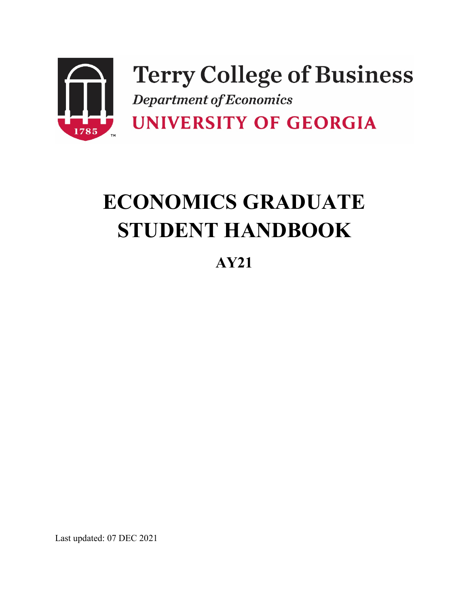

# **ECONOMICS GRADUATE STUDENT HANDBOOK**

**AY21**

Last updated: 07 DEC 2021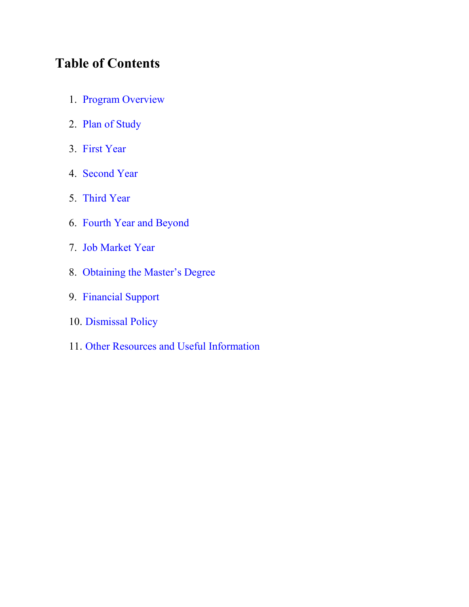# **Table of Contents**

- 1. [Program Overview](#page-2-0)
- 2. [Plan of Study](#page-3-0)
- 3. [First Year](#page-6-0)
- 4. [Second Year](#page-8-0)
- 5. [Third Year](#page-11-0)
- 6. [Fourth Year and Beyond](#page-14-0)
- 7. [Job Market Year](#page-16-0)
- 8. [Obtaining the Master's Degree](#page-18-0)
- 9. [Financial Support](#page-19-0)
- 10. [Dismissal Policy](#page-20-0)
- 11. [Other Resources and Useful Information](#page-22-0)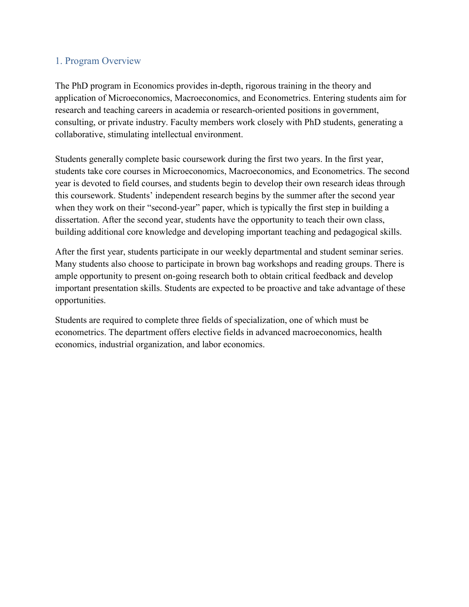## <span id="page-2-0"></span>1. Program Overview

The PhD program in Economics provides in-depth, rigorous training in the theory and application of Microeconomics, Macroeconomics, and Econometrics. Entering students aim for research and teaching careers in academia or research-oriented positions in government, consulting, or private industry. Faculty members work closely with PhD students, generating a collaborative, stimulating intellectual environment.

Students generally complete basic coursework during the first two years. In the first year, students take core courses in Microeconomics, Macroeconomics, and Econometrics. The second year is devoted to field courses, and students begin to develop their own research ideas through this coursework. Students' independent research begins by the summer after the second year when they work on their "second-year" paper, which is typically the first step in building a dissertation. After the second year, students have the opportunity to teach their own class, building additional core knowledge and developing important teaching and pedagogical skills.

After the first year, students participate in our weekly departmental and student seminar series. Many students also choose to participate in brown bag workshops and reading groups. There is ample opportunity to present on-going research both to obtain critical feedback and develop important presentation skills. Students are expected to be proactive and take advantage of these opportunities.

Students are required to complete three fields of specialization, one of which must be econometrics. The department offers elective fields in advanced macroeconomics, health economics, industrial organization, and labor economics.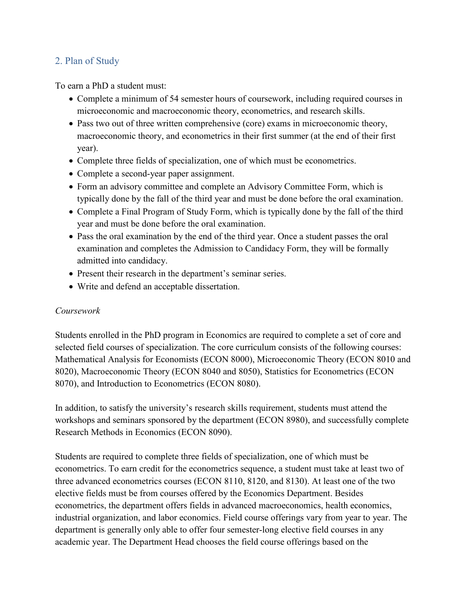### <span id="page-3-0"></span>2. Plan of Study

To earn a PhD a student must:

- Complete a minimum of 54 semester hours of coursework, including required courses in microeconomic and macroeconomic theory, econometrics, and research skills.
- Pass two out of three written comprehensive (core) exams in microeconomic theory, macroeconomic theory, and econometrics in their first summer (at the end of their first year).
- Complete three fields of specialization, one of which must be econometrics.
- Complete a second-year paper assignment.
- Form an advisory committee and complete an Advisory Committee Form, which is typically done by the fall of the third year and must be done before the oral examination.
- Complete a Final Program of Study Form, which is typically done by the fall of the third year and must be done before the oral examination.
- Pass the oral examination by the end of the third year. Once a student passes the oral examination and completes the Admission to Candidacy Form, they will be formally admitted into candidacy.
- Present their research in the department's seminar series.
- Write and defend an acceptable dissertation.

#### *Coursework*

Students enrolled in the PhD program in Economics are required to complete a set of core and selected field courses of specialization. The core curriculum consists of the following courses: Mathematical Analysis for Economists (ECON 8000), Microeconomic Theory (ECON 8010 and 8020), Macroeconomic Theory (ECON 8040 and 8050), Statistics for Econometrics (ECON 8070), and Introduction to Econometrics (ECON 8080).

In addition, to satisfy the university's research skills requirement, students must attend the workshops and seminars sponsored by the department (ECON 8980), and successfully complete Research Methods in Economics (ECON 8090).

Students are required to complete three fields of specialization, one of which must be econometrics. To earn credit for the econometrics sequence, a student must take at least two of three advanced econometrics courses (ECON 8110, 8120, and 8130). At least one of the two elective fields must be from courses offered by the Economics Department. Besides econometrics, the department offers fields in advanced macroeconomics, health economics, industrial organization, and labor economics. Field course offerings vary from year to year. The department is generally only able to offer four semester-long elective field courses in any academic year. The Department Head chooses the field course offerings based on the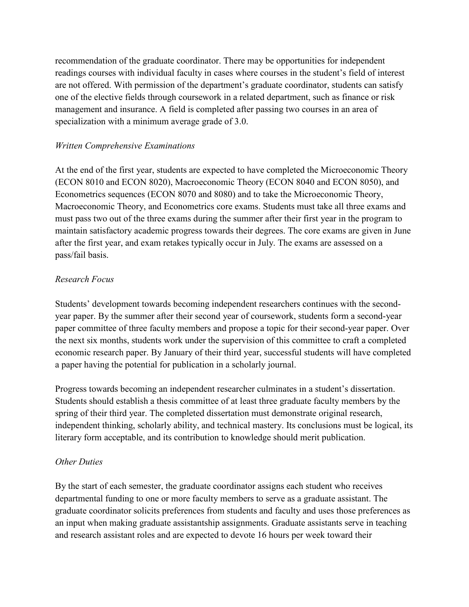recommendation of the graduate coordinator. There may be opportunities for independent readings courses with individual faculty in cases where courses in the student's field of interest are not offered. With permission of the department's graduate coordinator, students can satisfy one of the elective fields through coursework in a related department, such as finance or risk management and insurance. A field is completed after passing two courses in an area of specialization with a minimum average grade of 3.0.

#### *Written Comprehensive Examinations*

At the end of the first year, students are expected to have completed the Microeconomic Theory (ECON 8010 and ECON 8020), Macroeconomic Theory (ECON 8040 and ECON 8050), and Econometrics sequences (ECON 8070 and 8080) and to take the Microeconomic Theory, Macroeconomic Theory, and Econometrics core exams. Students must take all three exams and must pass two out of the three exams during the summer after their first year in the program to maintain satisfactory academic progress towards their degrees. The core exams are given in June after the first year, and exam retakes typically occur in July. The exams are assessed on a pass/fail basis.

#### *Research Focus*

Students' development towards becoming independent researchers continues with the secondyear paper. By the summer after their second year of coursework, students form a second-year paper committee of three faculty members and propose a topic for their second-year paper. Over the next six months, students work under the supervision of this committee to craft a completed economic research paper. By January of their third year, successful students will have completed a paper having the potential for publication in a scholarly journal.

Progress towards becoming an independent researcher culminates in a student's dissertation. Students should establish a thesis committee of at least three graduate faculty members by the spring of their third year. The completed dissertation must demonstrate original research, independent thinking, scholarly ability, and technical mastery. Its conclusions must be logical, its literary form acceptable, and its contribution to knowledge should merit publication.

#### *Other Duties*

By the start of each semester, the graduate coordinator assigns each student who receives departmental funding to one or more faculty members to serve as a graduate assistant. The graduate coordinator solicits preferences from students and faculty and uses those preferences as an input when making graduate assistantship assignments. Graduate assistants serve in teaching and research assistant roles and are expected to devote 16 hours per week toward their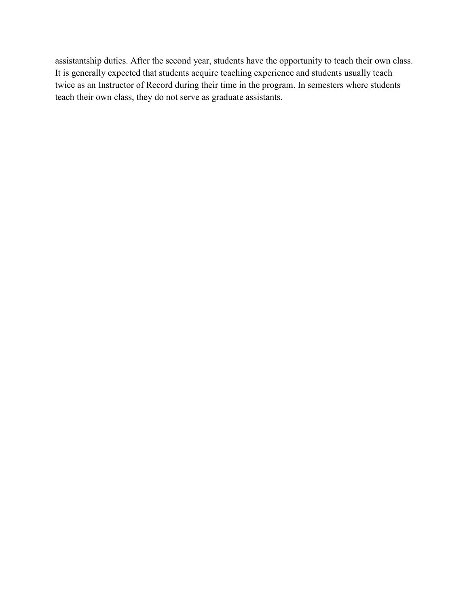assistantship duties. After the second year, students have the opportunity to teach their own class. It is generally expected that students acquire teaching experience and students usually teach twice as an Instructor of Record during their time in the program. In semesters where students teach their own class, they do not serve as graduate assistants.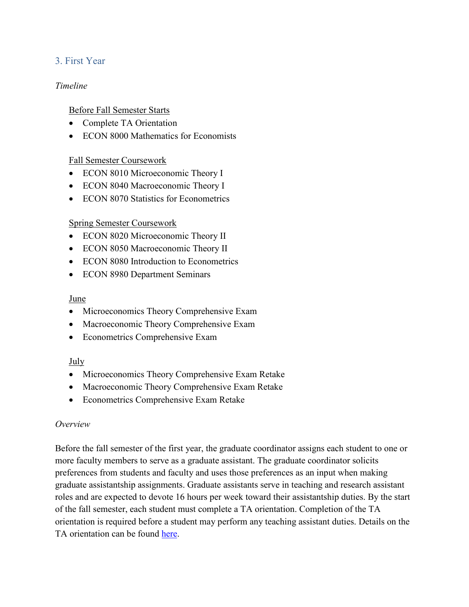# <span id="page-6-0"></span>3. First Year

#### *Timeline*

#### Before Fall Semester Starts

- Complete TA Orientation
- ECON 8000 Mathematics for Economists

#### Fall Semester Coursework

- ECON 8010 Microeconomic Theory I
- ECON 8040 Macroeconomic Theory I
- ECON 8070 Statistics for Econometrics

#### Spring Semester Coursework

- ECON 8020 Microeconomic Theory II
- ECON 8050 Macroeconomic Theory II
- ECON 8080 Introduction to Econometrics
- ECON 8980 Department Seminars

#### June

- Microeconomics Theory Comprehensive Exam
- Macroeconomic Theory Comprehensive Exam
- Econometrics Comprehensive Exam

#### July

- Microeconomics Theory Comprehensive Exam Retake
- Macroeconomic Theory Comprehensive Exam Retake
- Econometrics Comprehensive Exam Retake

#### *Overview*

Before the fall semester of the first year, the graduate coordinator assigns each student to one or more faculty members to serve as a graduate assistant. The graduate coordinator solicits preferences from students and faculty and uses those preferences as an input when making graduate assistantship assignments. Graduate assistants serve in teaching and research assistant roles and are expected to devote 16 hours per week toward their assistantship duties. By the start of the fall semester, each student must complete a TA orientation. Completion of the TA orientation is required before a student may perform any teaching assistant duties. Details on the TA orientation can be found [here.](https://ctl.uga.edu/grad-student/ta-orientation/)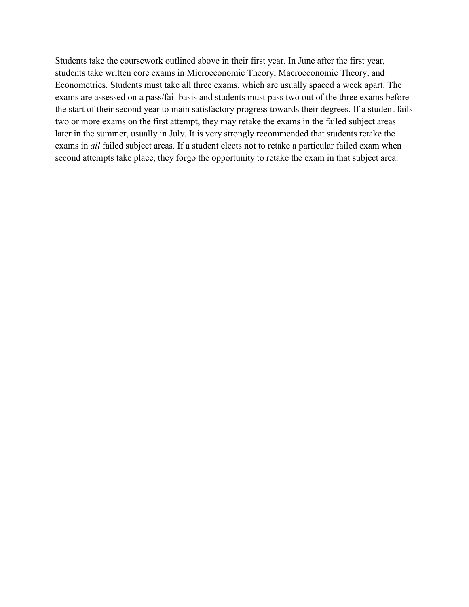Students take the coursework outlined above in their first year. In June after the first year, students take written core exams in Microeconomic Theory, Macroeconomic Theory, and Econometrics. Students must take all three exams, which are usually spaced a week apart. The exams are assessed on a pass/fail basis and students must pass two out of the three exams before the start of their second year to main satisfactory progress towards their degrees. If a student fails two or more exams on the first attempt, they may retake the exams in the failed subject areas later in the summer, usually in July. It is very strongly recommended that students retake the exams in *all* failed subject areas. If a student elects not to retake a particular failed exam when second attempts take place, they forgo the opportunity to retake the exam in that subject area.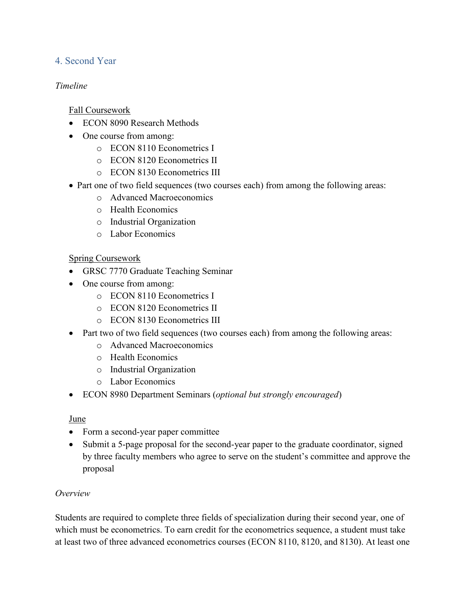# <span id="page-8-0"></span>4. Second Year

#### *Timeline*

Fall Coursework

- ECON 8090 Research Methods
- One course from among:
	- o ECON 8110 Econometrics I
	- o ECON 8120 Econometrics II
	- o ECON 8130 Econometrics III
- Part one of two field sequences (two courses each) from among the following areas:
	- o Advanced Macroeconomics
	- o Health Economics
	- o Industrial Organization
	- o Labor Economics

## Spring Coursework

- GRSC 7770 Graduate Teaching Seminar
- One course from among:
	- o ECON 8110 Econometrics I
	- o ECON 8120 Econometrics II
	- o ECON 8130 Econometrics III
- Part two of two field sequences (two courses each) from among the following areas:
	- o Advanced Macroeconomics
	- o Health Economics
	- o Industrial Organization
	- o Labor Economics
- ECON 8980 Department Seminars (*optional but strongly encouraged*)

#### June

- Form a second-year paper committee
- Submit a 5-page proposal for the second-year paper to the graduate coordinator, signed by three faculty members who agree to serve on the student's committee and approve the proposal

#### *Overview*

Students are required to complete three fields of specialization during their second year, one of which must be econometrics. To earn credit for the econometrics sequence, a student must take at least two of three advanced econometrics courses (ECON 8110, 8120, and 8130). At least one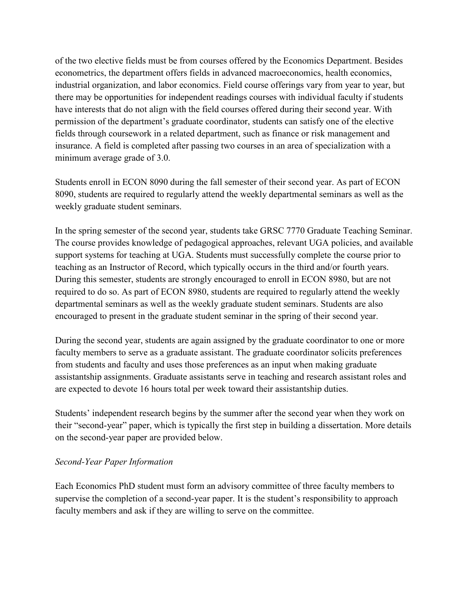of the two elective fields must be from courses offered by the Economics Department. Besides econometrics, the department offers fields in advanced macroeconomics, health economics, industrial organization, and labor economics. Field course offerings vary from year to year, but there may be opportunities for independent readings courses with individual faculty if students have interests that do not align with the field courses offered during their second year. With permission of the department's graduate coordinator, students can satisfy one of the elective fields through coursework in a related department, such as finance or risk management and insurance. A field is completed after passing two courses in an area of specialization with a minimum average grade of 3.0.

Students enroll in ECON 8090 during the fall semester of their second year. As part of ECON 8090, students are required to regularly attend the weekly departmental seminars as well as the weekly graduate student seminars.

In the spring semester of the second year, students take GRSC 7770 Graduate Teaching Seminar. The course provides knowledge of pedagogical approaches, relevant UGA policies, and available support systems for teaching at UGA. Students must successfully complete the course prior to teaching as an Instructor of Record, which typically occurs in the third and/or fourth years. During this semester, students are strongly encouraged to enroll in ECON 8980, but are not required to do so. As part of ECON 8980, students are required to regularly attend the weekly departmental seminars as well as the weekly graduate student seminars. Students are also encouraged to present in the graduate student seminar in the spring of their second year.

During the second year, students are again assigned by the graduate coordinator to one or more faculty members to serve as a graduate assistant. The graduate coordinator solicits preferences from students and faculty and uses those preferences as an input when making graduate assistantship assignments. Graduate assistants serve in teaching and research assistant roles and are expected to devote 16 hours total per week toward their assistantship duties.

Students' independent research begins by the summer after the second year when they work on their "second-year" paper, which is typically the first step in building a dissertation. More details on the second-year paper are provided below.

#### *Second-Year Paper Information*

Each Economics PhD student must form an advisory committee of three faculty members to supervise the completion of a second-year paper. It is the student's responsibility to approach faculty members and ask if they are willing to serve on the committee.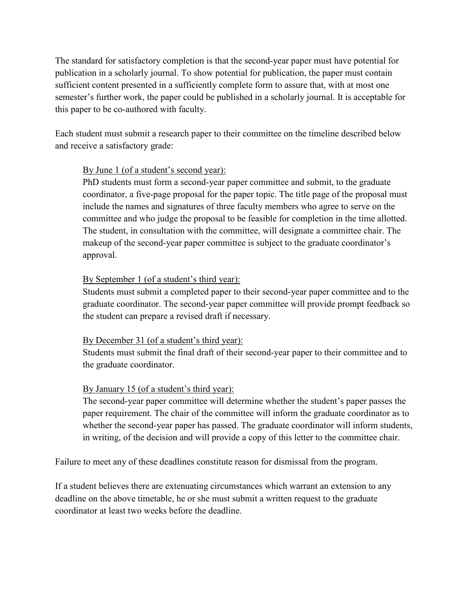The standard for satisfactory completion is that the second-year paper must have potential for publication in a scholarly journal. To show potential for publication, the paper must contain sufficient content presented in a sufficiently complete form to assure that, with at most one semester's further work, the paper could be published in a scholarly journal. It is acceptable for this paper to be co-authored with faculty.

Each student must submit a research paper to their committee on the timeline described below and receive a satisfactory grade:

#### By June 1 (of a student's second year):

PhD students must form a second-year paper committee and submit, to the graduate coordinator, a five-page proposal for the paper topic. The title page of the proposal must include the names and signatures of three faculty members who agree to serve on the committee and who judge the proposal to be feasible for completion in the time allotted. The student, in consultation with the committee, will designate a committee chair. The makeup of the second-year paper committee is subject to the graduate coordinator's approval.

#### By September 1 (of a student's third year):

Students must submit a completed paper to their second-year paper committee and to the graduate coordinator. The second-year paper committee will provide prompt feedback so the student can prepare a revised draft if necessary.

#### By December 31 (of a student's third year):

Students must submit the final draft of their second-year paper to their committee and to the graduate coordinator.

# By January 15 (of a student's third year):

The second-year paper committee will determine whether the student's paper passes the paper requirement. The chair of the committee will inform the graduate coordinator as to whether the second-year paper has passed. The graduate coordinator will inform students, in writing, of the decision and will provide a copy of this letter to the committee chair.

Failure to meet any of these deadlines constitute reason for dismissal from the program.

If a student believes there are extenuating circumstances which warrant an extension to any deadline on the above timetable, he or she must submit a written request to the graduate coordinator at least two weeks before the deadline.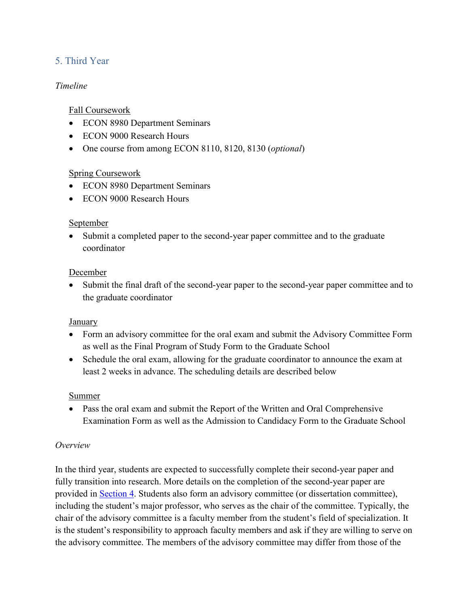# <span id="page-11-0"></span>5. Third Year

#### *Timeline*

#### Fall Coursework

- ECON 8980 Department Seminars
- ECON 9000 Research Hours
- One course from among ECON 8110, 8120, 8130 (*optional*)

## Spring Coursework

- ECON 8980 Department Seminars
- ECON 9000 Research Hours

#### September

• Submit a completed paper to the second-year paper committee and to the graduate coordinator

#### December

• Submit the final draft of the second-year paper to the second-year paper committee and to the graduate coordinator

#### January

- Form an advisory committee for the oral exam and submit the Advisory Committee Form as well as the Final Program of Study Form to the Graduate School
- Schedule the oral exam, allowing for the graduate coordinator to announce the exam at least 2 weeks in advance. The scheduling details are described below

#### **Summer**

• Pass the oral exam and submit the Report of the Written and Oral Comprehensive Examination Form as well as the Admission to Candidacy Form to the Graduate School

#### *Overview*

In the third year, students are expected to successfully complete their second-year paper and fully transition into research. More details on the completion of the second-year paper are provided in [Section 4.](#page-8-0) Students also form an advisory committee (or dissertation committee), including the student's major professor, who serves as the chair of the committee. Typically, the chair of the advisory committee is a faculty member from the student's field of specialization. It is the student's responsibility to approach faculty members and ask if they are willing to serve on the advisory committee. The members of the advisory committee may differ from those of the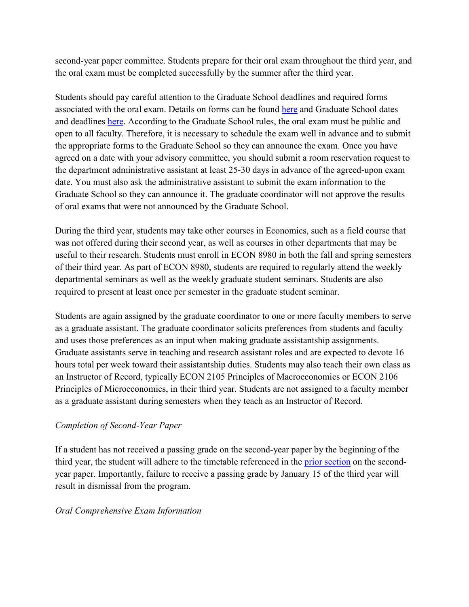second-year paper committee. Students prepare for their oral exam throughout the third year, and the oral exam must be completed successfully by the summer after the third year.

Students should pay careful attention to the Graduate School deadlines and required forms associated with the oral exam. Details on forms can be found [here](https://grad.uga.edu/index.php/current-students/forms/) and Graduate School dates and deadlines [here.](https://grad.uga.edu/index.php/current-students/important-dates-deadlines/) According to the Graduate School rules, the oral exam must be public and open to all faculty. Therefore, it is necessary to schedule the exam well in advance and to submit the appropriate forms to the Graduate School so they can announce the exam. Once you have agreed on a date with your advisory committee, you should submit a room reservation request to the department administrative assistant at least 25-30 days in advance of the agreed-upon exam date. You must also ask the administrative assistant to submit the exam information to the Graduate School so they can announce it. The graduate coordinator will not approve the results of oral exams that were not announced by the Graduate School.

During the third year, students may take other courses in Economics, such as a field course that was not offered during their second year, as well as courses in other departments that may be useful to their research. Students must enroll in ECON 8980 in both the fall and spring semesters of their third year. As part of ECON 8980, students are required to regularly attend the weekly departmental seminars as well as the weekly graduate student seminars. Students are also required to present at least once per semester in the graduate student seminar.

Students are again assigned by the graduate coordinator to one or more faculty members to serve as a graduate assistant. The graduate coordinator solicits preferences from students and faculty and uses those preferences as an input when making graduate assistantship assignments. Graduate assistants serve in teaching and research assistant roles and are expected to devote 16 hours total per week toward their assistantship duties. Students may also teach their own class as an Instructor of Record, typically ECON 2105 Principles of Macroeconomics or ECON 2106 Principles of Microeconomics, in their third year. Students are not assigned to a faculty member as a graduate assistant during semesters when they teach as an Instructor of Record.

#### *Completion of Second-Year Paper*

If a student has not received a passing grade on the second-year paper by the beginning of the third year, the student will adhere to the timetable referenced in the **prior section** on the secondyear paper. Importantly, failure to receive a passing grade by January 15 of the third year will result in dismissal from the program.

#### *Oral Comprehensive Exam Information*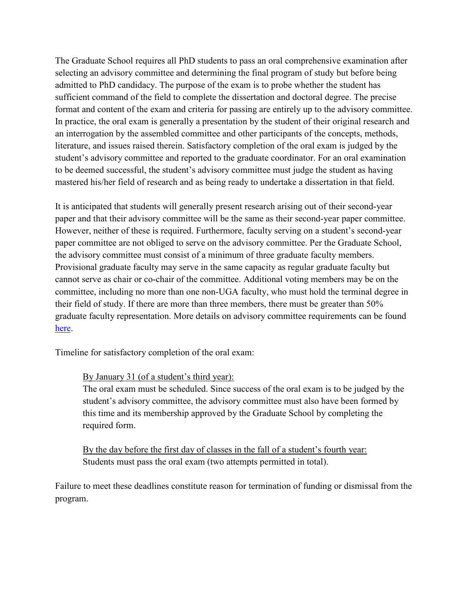The Graduate School requires all PhD students to pass an oral comprehensive examination after selecting an advisory committee and determining the final program of study but before being admitted to PhD candidacy. The purpose of the exam is to probe whether the student has sufficient command of the field to complete the dissertation and doctoral degree. The precise format and content of the exam and criteria for passing are entirely up to the advisory committee. In practice, the oral exam is generally a presentation by the student of their original research and an interrogation by the assembled committee and other participants of the concepts, methods, literature, and issues raised therein. Satisfactory completion of the oral exam is judged by the student's advisory committee and reported to the graduate coordinator. For an oral examination to be deemed successful, the student's advisory committee must judge the student as having mastered his/her field of research and as being ready to undertake a dissertation in that field.

It is anticipated that students will generally present research arising out of their second-year paper and that their advisory committee will be the same as their second-year paper committee. However, neither of these is required. Furthermore, faculty serving on a student's second-year paper committee are not obliged to serve on the advisory committee. Per the Graduate School, the advisory committee must consist of a minimum of three graduate faculty members. Provisional graduate faculty may serve in the same capacity as regular graduate faculty but cannot serve as chair or co-chair of the committee. Additional voting members may be on the committee, including no more than one non-UGA faculty, who must hold the terminal degree in their field of study. If there are more than three members, there must be greater than 50% graduate faculty representation. More details on advisory committee requirements can be found [here.](https://grad.uga.edu/index.php/current-students/policies-procedures/academics/types-of-degrees-offered/doctor-of-philosophy-phd/doctor-of-philosophy-advisory-committee/)

Timeline for satisfactory completion of the oral exam:

By January 31 (of a student's third year):

The oral exam must be scheduled. Since success of the oral exam is to be judged by the student's advisory committee, the advisory committee must also have been formed by this time and its membership approved by the Graduate School by completing the required form.

By the day before the first day of classes in the fall of a student's fourth year: Students must pass the oral exam (two attempts permitted in total).

Failure to meet these deadlines constitute reason for termination of funding or dismissal from the program.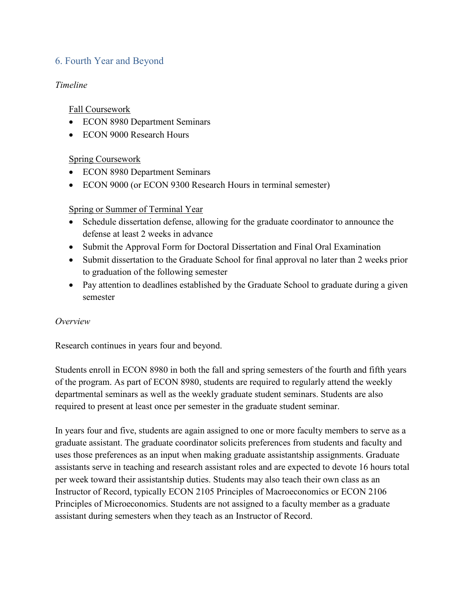# <span id="page-14-0"></span>6. Fourth Year and Beyond

#### *Timeline*

#### Fall Coursework

- ECON 8980 Department Seminars
- ECON 9000 Research Hours

## Spring Coursework

- ECON 8980 Department Seminars
- ECON 9000 (or ECON 9300 Research Hours in terminal semester)

#### Spring or Summer of Terminal Year

- Schedule dissertation defense, allowing for the graduate coordinator to announce the defense at least 2 weeks in advance
- Submit the Approval Form for Doctoral Dissertation and Final Oral Examination
- Submit dissertation to the Graduate School for final approval no later than 2 weeks prior to graduation of the following semester
- Pay attention to deadlines established by the Graduate School to graduate during a given semester

#### *Overview*

Research continues in years four and beyond.

Students enroll in ECON 8980 in both the fall and spring semesters of the fourth and fifth years of the program. As part of ECON 8980, students are required to regularly attend the weekly departmental seminars as well as the weekly graduate student seminars. Students are also required to present at least once per semester in the graduate student seminar.

In years four and five, students are again assigned to one or more faculty members to serve as a graduate assistant. The graduate coordinator solicits preferences from students and faculty and uses those preferences as an input when making graduate assistantship assignments. Graduate assistants serve in teaching and research assistant roles and are expected to devote 16 hours total per week toward their assistantship duties. Students may also teach their own class as an Instructor of Record, typically ECON 2105 Principles of Macroeconomics or ECON 2106 Principles of Microeconomics. Students are not assigned to a faculty member as a graduate assistant during semesters when they teach as an Instructor of Record.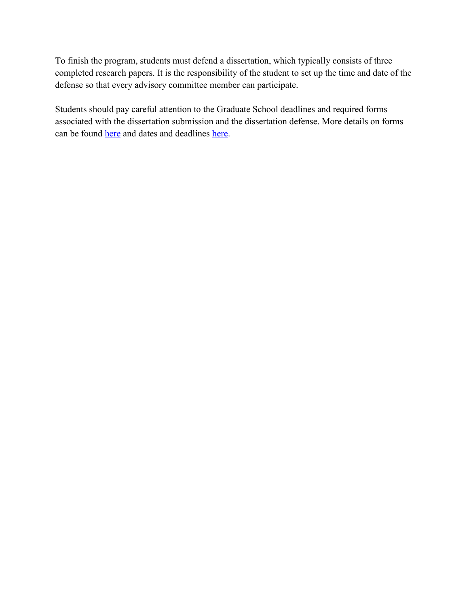To finish the program, students must defend a dissertation, which typically consists of three completed research papers. It is the responsibility of the student to set up the time and date of the defense so that every advisory committee member can participate.

Students should pay careful attention to the Graduate School deadlines and required forms associated with the dissertation submission and the dissertation defense. More details on forms can be found [here](https://grad.uga.edu/index.php/current-students/forms/) and dates and deadlines [here.](https://grad.uga.edu/index.php/current-students/important-dates-deadlines/)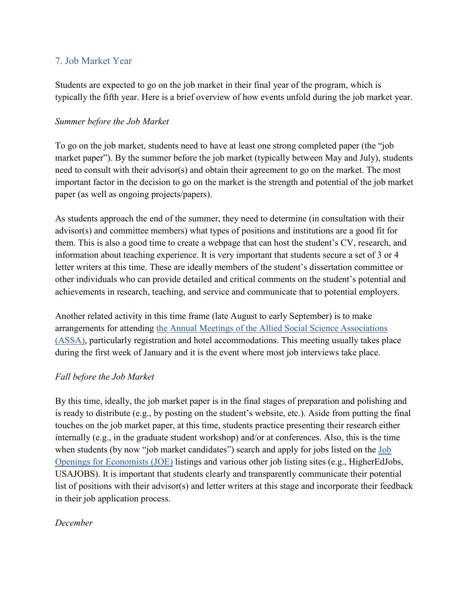### <span id="page-16-0"></span>7. Job Market Year

Students are expected to go on the job market in their final year of the program, which is typically the fifth year. Here is a brief overview of how events unfold during the job market year.

#### *Summer before the Job Market*

To go on the job market, students need to have at least one strong completed paper (the "job market paper"). By the summer before the job market (typically between May and July), students need to consult with their advisor(s) and obtain their agreement to go on the market. The most important factor in the decision to go on the market is the strength and potential of the job market paper (as well as ongoing projects/papers).

As students approach the end of the summer, they need to determine (in consultation with their advisor(s) and committee members) what types of positions and institutions are a good fit for them. This is also a good time to create a webpage that can host the student's CV, research, and information about teaching experience. It is very important that students secure a set of 3 or 4 letter writers at this time. These are ideally members of the student's dissertation committee or other individuals who can provide detailed and critical comments on the student's potential and achievements in research, teaching, and service and communicate that to potential employers.

Another related activity in this time frame (late August to early September) is to make arrangements for attending [the Annual Meetings of the Allied Social Science Associations](https://www.aeaweb.org/conference/about)  [\(ASSA\),](https://www.aeaweb.org/conference/about) particularly registration and hotel accommodations. This meeting usually takes place during the first week of January and it is the event where most job interviews take place.

#### *Fall before the Job Market*

By this time, ideally, the job market paper is in the final stages of preparation and polishing and is ready to distribute (e.g., by posting on the student's website, etc.). Aside from putting the final touches on the job market paper, at this time, students practice presenting their research either internally (e.g., in the graduate student workshop) and/or at conferences. Also, this is the time when students (by now "job market candidates") search and apply for jobs listed on the Job [Openings for Economists \(JOE\)](https://www.aeaweb.org/joe/listings) listings and various other job listing sites (e.g., HigherEdJobs, USAJOBS). It is important that students clearly and transparently communicate their potential list of positions with their advisor(s) and letter writers at this stage and incorporate their feedback in their job application process.

#### *December*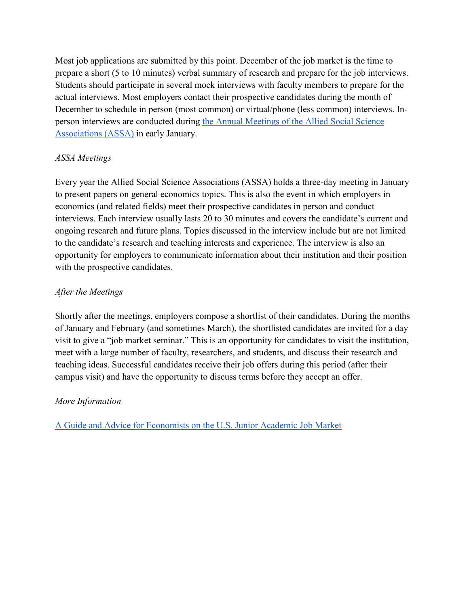Most job applications are submitted by this point. December of the job market is the time to prepare a short (5 to 10 minutes) verbal summary of research and prepare for the job interviews. Students should participate in several mock interviews with faculty members to prepare for the actual interviews. Most employers contact their prospective candidates during the month of December to schedule in person (most common) or virtual/phone (less common) interviews. Inperson interviews are conducted during [the Annual Meetings of the Allied Social Science](https://www.aeaweb.org/conference/about)  [Associations \(ASSA\)](https://www.aeaweb.org/conference/about) in early January.

## *ASSA Meetings*

Every year the Allied Social Science Associations (ASSA) holds a three-day meeting in January to present papers on general economics topics. This is also the event in which employers in economics (and related fields) meet their prospective candidates in person and conduct interviews. Each interview usually lasts 20 to 30 minutes and covers the candidate's current and ongoing research and future plans. Topics discussed in the interview include but are not limited to the candidate's research and teaching interests and experience. The interview is also an opportunity for employers to communicate information about their institution and their position with the prospective candidates.

## *After the Meetings*

Shortly after the meetings, employers compose a shortlist of their candidates. During the months of January and February (and sometimes March), the shortlisted candidates are invited for a day visit to give a "job market seminar." This is an opportunity for candidates to visit the institution, meet with a large number of faculty, researchers, and students, and discuss their research and teaching ideas. Successful candidates receive their job offers during this period (after their campus visit) and have the opportunity to discuss terms before they accept an offer.

#### *More Information*

[A Guide and Advice for Economists on the U.S. Junior Academic Job Market](https://www.aeaweb.org/content/file?id=869)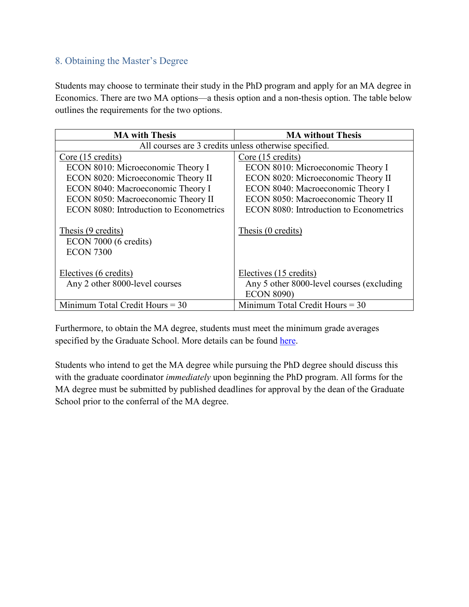# <span id="page-18-0"></span>8. Obtaining the Master's Degree

Students may choose to terminate their study in the PhD program and apply for an MA degree in Economics. There are two MA options—a thesis option and a non-thesis option. The table below outlines the requirements for the two options.

| <b>MA</b> with Thesis                                           | <b>MA</b> without Thesis                  |
|-----------------------------------------------------------------|-------------------------------------------|
| All courses are 3 credits unless otherwise specified.           |                                           |
| Core (15 credits)                                               | Core (15 credits)                         |
| ECON 8010: Microeconomic Theory I                               | ECON 8010: Microeconomic Theory I         |
| ECON 8020: Microeconomic Theory II                              | ECON 8020: Microeconomic Theory II        |
| ECON 8040: Macroeconomic Theory I                               | ECON 8040: Macroeconomic Theory I         |
| ECON 8050: Macroeconomic Theory II                              | ECON 8050: Macroeconomic Theory II        |
| ECON 8080: Introduction to Econometrics                         | ECON 8080: Introduction to Econometrics   |
| Thesis (9 credits)<br>ECON 7000 (6 credits)<br><b>ECON 7300</b> | Thesis (0 credits)                        |
| Electives (6 credits)                                           | Electives (15 credits)                    |
| Any 2 other 8000-level courses                                  | Any 5 other 8000-level courses (excluding |
|                                                                 | <b>ECON 8090)</b>                         |
| Minimum Total Credit Hours $=$ 30                               | Minimum Total Credit Hours $=$ 30         |

Furthermore, to obtain the MA degree, students must meet the minimum grade averages specified by the Graduate School. More details can be found [here.](https://grad.uga.edu/index.php/current-students/policies-procedures/academics/types-of-degrees-offered/masters-degrees/)

Students who intend to get the MA degree while pursuing the PhD degree should discuss this with the graduate coordinator *immediately* upon beginning the PhD program. All forms for the MA degree must be submitted by published deadlines for approval by the dean of the Graduate School prior to the conferral of the MA degree.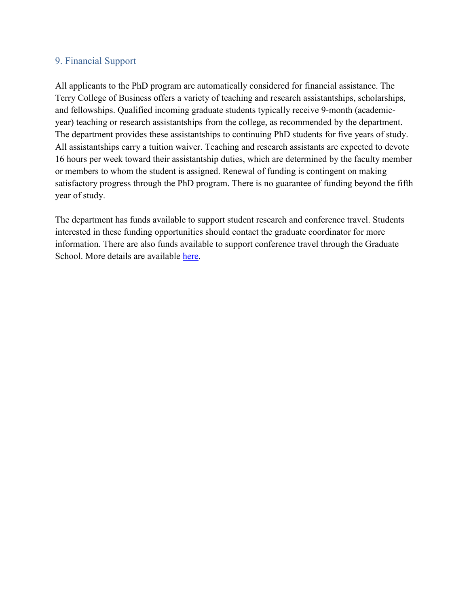#### <span id="page-19-0"></span>9. Financial Support

All applicants to the PhD program are automatically considered for financial assistance. The Terry College of Business offers a variety of teaching and research assistantships, scholarships, and fellowships. Qualified incoming graduate students typically receive 9-month (academicyear) teaching or research assistantships from the college, as recommended by the department. The department provides these assistantships to continuing PhD students for five years of study. All assistantships carry a tuition waiver. Teaching and research assistants are expected to devote 16 hours per week toward their assistantship duties, which are determined by the faculty member or members to whom the student is assigned. Renewal of funding is contingent on making satisfactory progress through the PhD program. There is no guarantee of funding beyond the fifth year of study.

The department has funds available to support student research and conference travel. Students interested in these funding opportunities should contact the graduate coordinator for more information. There are also funds available to support conference travel through the Graduate School. More details are available [here.](https://grad.uga.edu/index.php/current-students/financial-information/travel-funding/)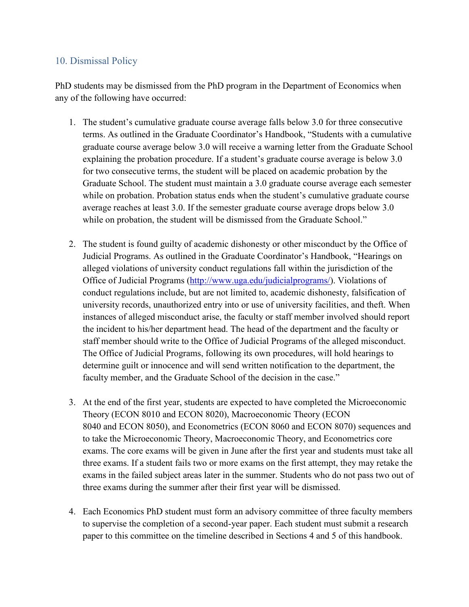### <span id="page-20-0"></span>10. Dismissal Policy

PhD students may be dismissed from the PhD program in the Department of Economics when any of the following have occurred:

- 1. The student's cumulative graduate course average falls below 3.0 for three consecutive terms. As outlined in the Graduate Coordinator's Handbook, "Students with a cumulative graduate course average below 3.0 will receive a warning letter from the Graduate School explaining the probation procedure. If a student's graduate course average is below 3.0 for two consecutive terms, the student will be placed on academic probation by the Graduate School. The student must maintain a 3.0 graduate course average each semester while on probation. Probation status ends when the student's cumulative graduate course average reaches at least 3.0. If the semester graduate course average drops below 3.0 while on probation, the student will be dismissed from the Graduate School."
- 2. The student is found guilty of academic dishonesty or other misconduct by the Office of Judicial Programs. As outlined in the Graduate Coordinator's Handbook, "Hearings on alleged violations of university conduct regulations fall within the jurisdiction of the Office of Judicial Programs [\(http://www.uga.edu/judicialprograms/\)](http://www.uga.edu/judicialprograms/). Violations of conduct regulations include, but are not limited to, academic dishonesty, falsification of university records, unauthorized entry into or use of university facilities, and theft. When instances of alleged misconduct arise, the faculty or staff member involved should report the incident to his/her department head. The head of the department and the faculty or staff member should write to the Office of Judicial Programs of the alleged misconduct. The Office of Judicial Programs, following its own procedures, will hold hearings to determine guilt or innocence and will send written notification to the department, the faculty member, and the Graduate School of the decision in the case."
- 3. At the end of the first year, students are expected to have completed the Microeconomic Theory (ECON 8010 and ECON 8020), Macroeconomic Theory (ECON 8040 and ECON 8050), and Econometrics (ECON 8060 and ECON 8070) sequences and to take the Microeconomic Theory, Macroeconomic Theory, and Econometrics core exams. The core exams will be given in June after the first year and students must take all three exams. If a student fails two or more exams on the first attempt, they may retake the exams in the failed subject areas later in the summer. Students who do not pass two out of three exams during the summer after their first year will be dismissed.
- 4. Each Economics PhD student must form an advisory committee of three faculty members to supervise the completion of a second-year paper. Each student must submit a research paper to this committee on the timeline described in Sections 4 and 5 of this handbook.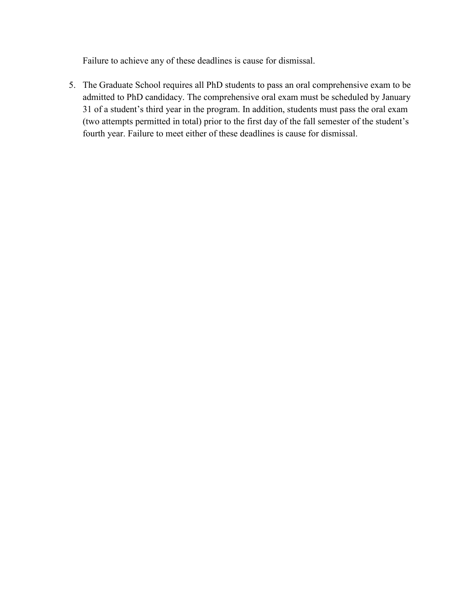Failure to achieve any of these deadlines is cause for dismissal.

5. The Graduate School requires all PhD students to pass an oral comprehensive exam to be admitted to PhD candidacy. The comprehensive oral exam must be scheduled by January 31 of a student's third year in the program. In addition, students must pass the oral exam (two attempts permitted in total) prior to the first day of the fall semester of the student's fourth year. Failure to meet either of these deadlines is cause for dismissal.